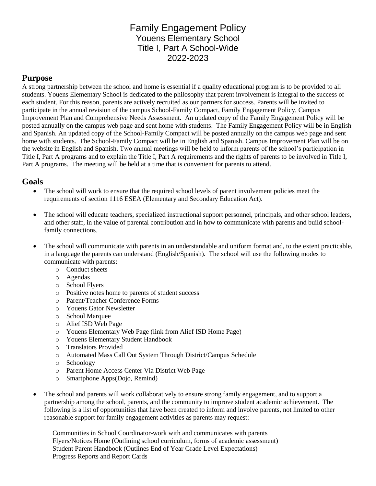## Family Engagement Policy Youens Elementary School Title I, Part A School-Wide 2022-2023

### **Purpose**

A strong partnership between the school and home is essential if a quality educational program is to be provided to all students. Youens Elementary School is dedicated to the philosophy that parent involvement is integral to the success of each student. For this reason, parents are actively recruited as our partners for success. Parents will be invited to participate in the annual revision of the campus School-Family Compact, Family Engagement Policy, Campus Improvement Plan and Comprehensive Needs Assessment. An updated copy of the Family Engagement Policy will be posted annually on the campus web page and sent home with students. The Family Engagement Policy will be in English and Spanish. An updated copy of the School-Family Compact will be posted annually on the campus web page and sent home with students. The School-Family Compact will be in English and Spanish. Campus Improvement Plan will be on the website in English and Spanish. Two annual meetings will be held to inform parents of the school's participation in Title I, Part A programs and to explain the Title I, Part A requirements and the rights of parents to be involved in Title I, Part A programs. The meeting will be held at a time that is convenient for parents to attend.

### **Goals**

- The school will work to ensure that the required school levels of parent involvement policies meet the requirements of section 1116 ESEA (Elementary and Secondary Education Act).
- The school will educate teachers, specialized instructional support personnel, principals, and other school leaders, and other staff, in the value of parental contribution and in how to communicate with parents and build schoolfamily connections.
- The school will communicate with parents in an understandable and uniform format and, to the extent practicable, in a language the parents can understand (English/Spanish). The school will use the following modes to communicate with parents:
	- o Conduct sheets
	- o Agendas
	- o School Flyers
	- o Positive notes home to parents of student success
	- o Parent/Teacher Conference Forms
	- o Youens Gator Newsletter
	- o School Marquee
	- o Alief ISD Web Page
	- o Youens Elementary Web Page (link from Alief ISD Home Page)
	- o Youens Elementary Student Handbook
	- o Translators Provided
	- o Automated Mass Call Out System Through District/Campus Schedule
	- o Schoology
	- o Parent Home Access Center Via District Web Page
	- o Smartphone Apps(Dojo, Remind)
- The school and parents will work collaboratively to ensure strong family engagement, and to support a partnership among the school, parents, and the community to improve student academic achievement. The following is a list of opportunities that have been created to inform and involve parents, not limited to other reasonable support for family engagement activities as parents may request:

Communities in School Coordinator-work with and communicates with parents Flyers/Notices Home (Outlining school curriculum, forms of academic assessment) Student Parent Handbook (Outlines End of Year Grade Level Expectations) Progress Reports and Report Cards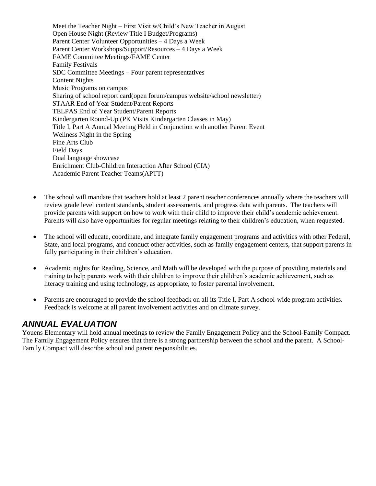Meet the Teacher Night – First Visit w/Child's New Teacher in August Open House Night (Review Title I Budget/Programs) Parent Center Volunteer Opportunities – 4 Days a Week Parent Center Workshops/Support/Resources – 4 Days a Week FAME Committee Meetings/FAME Center Family Festivals SDC Committee Meetings – Four parent representatives Content Nights Music Programs on campus Sharing of school report card(open forum/campus website/school newsletter) STAAR End of Year Student/Parent Reports TELPAS End of Year Student/Parent Reports Kindergarten Round-Up (PK Visits Kindergarten Classes in May) Title I, Part A Annual Meeting Held in Conjunction with another Parent Event Wellness Night in the Spring Fine Arts Club Field Days Dual language showcase Enrichment Club-Children Interaction After School (CIA) Academic Parent Teacher Teams(APTT)

- The school will mandate that teachers hold at least 2 parent teacher conferences annually where the teachers will review grade level content standards, student assessments, and progress data with parents. The teachers will provide parents with support on how to work with their child to improve their child's academic achievement. Parents will also have opportunities for regular meetings relating to their children's education, when requested.
- The school will educate, coordinate, and integrate family engagement programs and activities with other Federal, State, and local programs, and conduct other activities, such as family engagement centers, that support parents in fully participating in their children's education.
- Academic nights for Reading, Science, and Math will be developed with the purpose of providing materials and training to help parents work with their children to improve their children's academic achievement, such as literacy training and using technology, as appropriate, to foster parental involvement.
- Parents are encouraged to provide the school feedback on all its Title I, Part A school-wide program activities. Feedback is welcome at all parent involvement activities and on climate survey.

## *ANNUAL EVALUATION*

Youens Elementary will hold annual meetings to review the Family Engagement Policy and the School-Family Compact. The Family Engagement Policy ensures that there is a strong partnership between the school and the parent. A School-Family Compact will describe school and parent responsibilities.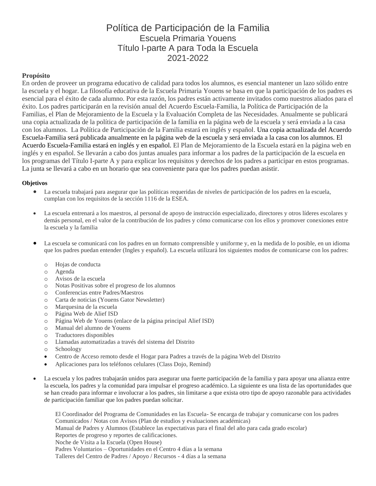# Política de Participación de la Familia Escuela Primaria Youens Título I-parte A para Toda la Escuela 2021-2022

### **Propósito**

En orden de proveer un programa educativo de calidad para todos los alumnos, es esencial mantener un lazo sólido entre la escuela y el hogar. La filosofía educativa de la Escuela Primaria Youens se basa en que la participación de los padres es esencial para el éxito de cada alumno. Por esta razón, los padres están activamente invitados como nuestros aliados para el éxito. Los padres participarán en la revisión anual del Acuerdo Escuela-Familia, la Política de Participación de la Familias, el Plan de Mejoramiento de la Escuela y la Evaluación Completa de las Necesidades. Anualmente se publicará una copia actualizada de la política de participación de la familia en la página web de la escuela y será enviada a la casa con los alumnos. La Política de Participación de la Familia estará en inglés y español. Una copia actualizada del Acuerdo Escuela-Familia será publicada anualmente en la página web de la escuela y será enviada a la casa con los alumnos. El Acuerdo Escuela-Familia estará en inglés y en español. El Plan de Mejoramiento de la Escuela estará en la página web en inglés y en español. Se llevarán a cabo dos juntas anuales para informar a los padres de la participación de la escuela en los programas del Título I-parte A y para explicar los requisitos y derechos de los padres a participar en estos programas. La junta se llevará a cabo en un horario que sea conveniente para que los padres puedan asistir.

#### **Objetivos**

- La escuela trabajará para asegurar que las políticas requeridas de niveles de participación de los padres en la escuela, cumplan con los requisitos de la sección 1116 de la ESEA.
- La escuela entrenará a los maestros, al personal de apoyo de instrucción especializado, directores y otros líderes escolares y demás personal, en el valor de la contribución de los padres y cómo comunicarse con los ellos y promover conexiones entre la escuela y la familia
- La escuela se comunicará con los padres en un formato comprensible y uniforme y, en la medida de lo posible, en un idioma que los padres puedan entender (Ingles y español). La escuela utilizará los siguientes modos de comunicarse con los padres:
	- o Hojas de conducta
	- o Agenda
	- o Avisos de la escuela
	- o Notas Positivas sobre el progreso de los alumnos
	- o Conferencias entre Padres/Maestros
	- o Carta de noticias (Youens Gator Newsletter)
	- o Marquesina de la escuela
	- o Página Web de Alief ISD
	- o Página Web de Youens (enlace de la página principal Alief ISD)
	- o Manual del alumno de Youens
	- o Traductores disponibles
	- o Llamadas automatizadas a través del sistema del Distrito
	- o Schoology
	- Centro de Acceso remoto desde el Hogar para Padres a través de la página Web del Distrito
	- Aplicaciones para los teléfonos celulares (Class Dojo, Remind)
- La escuela y los padres trabajarán unidos para asegurar una fuerte participación de la familia y para apoyar una alianza entre la escuela, los padres y la comunidad para impulsar el progreso académico. La siguiente es una lista de las oportunidades que se han creado para informar e involucrar a los padres, sin limitarse a que exista otro tipo de apoyo razonable para actividades de participación familiar que los padres puedan solicitar.

El Coordinador del Programa de Comunidades en las Escuela- Se encarga de trabajar y comunicarse con los padres Comunicados / Notas con Avisos (Plan de estudios y evaluaciones académicas) Manual de Padres y Alumnos (Establece las expectativas para el final del año para cada grado escolar) Reportes de progreso y reportes de calificaciones. Noche de Visita a la Escuela (Open House) Padres Voluntarios – Oportunidades en el Centro 4 días a la semana Talleres del Centro de Padres / Apoyo / Recursos - 4 días a la semana